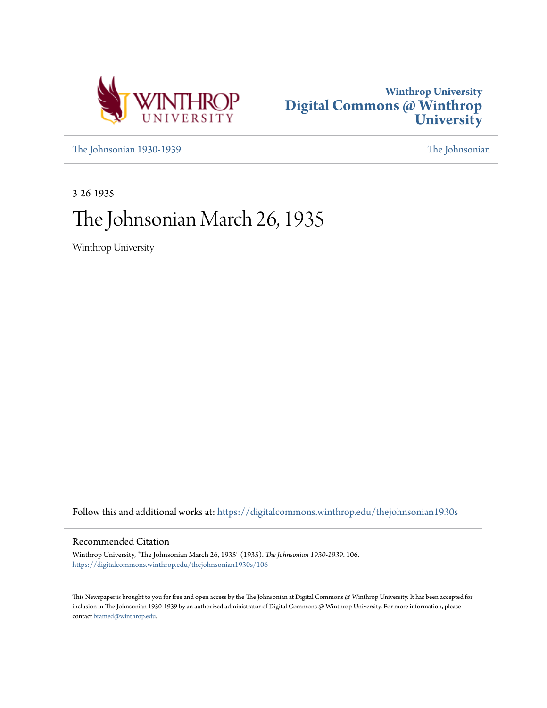



[The Johnsonian 1930-1939](https://digitalcommons.winthrop.edu/thejohnsonian1930s?utm_source=digitalcommons.winthrop.edu%2Fthejohnsonian1930s%2F106&utm_medium=PDF&utm_campaign=PDFCoverPages) [The Johnsonian](https://digitalcommons.winthrop.edu/thejohnsonian_newspaper?utm_source=digitalcommons.winthrop.edu%2Fthejohnsonian1930s%2F106&utm_medium=PDF&utm_campaign=PDFCoverPages)

3-26-1935

# The Johnsonian March 26, 1935

Winthrop University

Follow this and additional works at: [https://digitalcommons.winthrop.edu/thejohnsonian1930s](https://digitalcommons.winthrop.edu/thejohnsonian1930s?utm_source=digitalcommons.winthrop.edu%2Fthejohnsonian1930s%2F106&utm_medium=PDF&utm_campaign=PDFCoverPages)

### Recommended Citation

Winthrop University, "The Johnsonian March 26, 1935" (1935). *The Johnsonian 1930-1939*. 106. [https://digitalcommons.winthrop.edu/thejohnsonian1930s/106](https://digitalcommons.winthrop.edu/thejohnsonian1930s/106?utm_source=digitalcommons.winthrop.edu%2Fthejohnsonian1930s%2F106&utm_medium=PDF&utm_campaign=PDFCoverPages)

This Newspaper is brought to you for free and open access by the The Johnsonian at Digital Commons @ Winthrop University. It has been accepted for inclusion in The Johnsonian 1930-1939 by an authorized administrator of Digital Commons @ Winthrop University. For more information, please contact [bramed@winthrop.edu](mailto:bramed@winthrop.edu).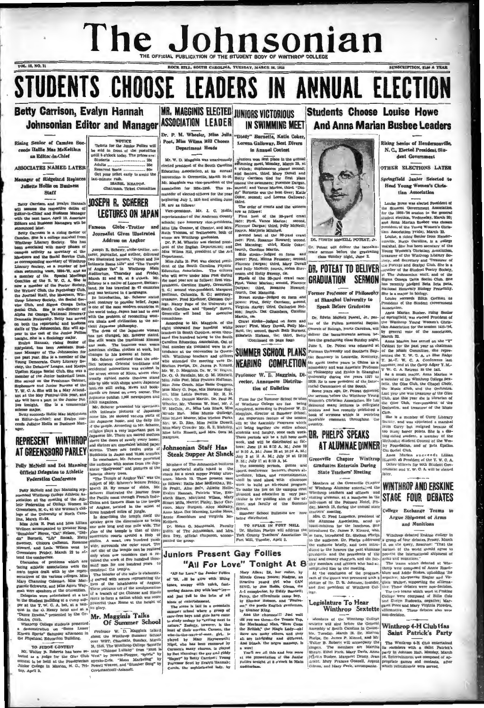### The Johnsonian E OFFICIAL PUBLICATION OF THE STUDENT BODY OF WINTHROP COLLEGE CK HILL SOUTH CAROLINA, TUESDAY, MARCH 24, 1933 SUBSCRIPTION, \$1.00 A YEAR

VOL. 12, NO. 21

# STUDENTS CHOOSE LEADERS IN ANNUAL

Mr. Magginis was vice-president of the

beginning July 1, 1935 and ending June

Vice-president, Mr. J. C. Hollis,

perintendent of the Anderson County ls; two honorary vice-presidents

30, are as follows:

**Betty Carrison, Evalyn Hannah** Johnsonian Editor and Manager ASSOCIATION LEADER

Rining Senlor of Camden Sue ceeds Hallie Mae McKeithen as Editor-in-Chief

**ASSOCIATES NAMED LATED** 

er of Ridgeland Replace **Juliette Hollis on Business** Stoff

Betty Carrison and Evalyn Hannah will assume the respective duties of<br>Editor-in-Chief and Business Manager<br>with the next lane April 12, Associate<br>Editors and Business Managers will be ed later.

nnounced Mater.<br>Betty Carrison is a rising Senior of Betty Garmana is a range central from<br>Camden. She is a college marshal from<br>Winthrop Literary Society. She has<br>been associated with many phases of<br>campus activity as secretary of the<br>Maaquers and the Social Service Club, piers and the bocau bervior City,<br>presponding secretary of Winthrop<br>pary Society, as a member of her<br>swimming team, 1934–'35, and as success, as a moment of her<br>simming icam, 1934–75, and as<br>ther of the Special Meetings<br>ee of the E. W. C. A. She is

che.tra Club.<br>Windhrop College students presented:<br>a demonstration on "Some Lesser"<br>Known Sports" Saturday afternoon in<br>the Physhical Education Building.

| . .                                                                       | Dr. P. M. Wheeler, Miss Julia           |
|---------------------------------------------------------------------------|-----------------------------------------|
| <b>NOTICE</b>                                                             | Post, Miss Wilma Hill Chosen            |
| Tickets for the Junior Polites will<br>be sold in front of the postoffice | <b>Department Heads</b>                 |
| until 5 o'clock today. The prices are:                                    |                                         |
| Students  25c                                                             | Mr. W. D. Magginis was unanimously      |
|                                                                           | elected president of the South Carolina |
|                                                                           | Education Association, at its annual    |

ur sneed.<br>He rush **IRAREL KEATON** Chairman, Ticket Co

**JOSEPH R. SCHERER LECTURES ON JAPAN** 

Globe - Trotter **Journalist Gives Illustrated** Address on Angkor

Joseph R. Beherer, globe-trotter, set lst. and author, delivere turer, journalist, and author, delivered<br>two illustrated lectures, "Japan and Ita<br>Intimate Home Life" and "The Temple<br>of Angkor Vat" in Winthrop Main Auditorium, Thursday and Priday

Some of the state of the state of the state of the state of the state of the state of the state of the state of the state of the state of the state of the state of the state of the state of the state of the state of the

Juniors Present Gay Follies

and just full to the britism of all<br>high field to the britism of all line areas in bial in a montain a<br>mater calcul where a group of care and the set of the set of the last<br> $\alpha$  is a set of the particular control and the

 $\begin{minipage}[t]{0.9\textwidth} {\small \textbf{Common Bport}} & \textbf{Common Laser} & \textbf{Common Bot} & \textbf{School} \\ \textbf{Common Bport} & \textbf{Schrod} & \textbf{Stimes} & \textbf{The system} & \textbf{The argument is already  
the Pyrblical Rautation Duid.} & \textbf{For very.} & \textbf{On a very.} \\ \textbf{For a non-convex} & \textbf{For a very.} \\ \textbf{For a non-convex} & \textbf{For a very.} \\ \textbf{For a non-convex} & \textbf{For a very.} \\ \textbf{For a more.} \\ \textbf{For a very.} \\ \textbf{For$ 

### MR. MAGGINIS ELECTED JUNIORS VICTORIOUS **Students Choose Louise Howe** IN SWIMMING MEET

Dr. P. M. Wheeler, Miss Julia "Diddy" Burnette, Katie Coker, Post, Miss Wilma Hill Chosen Lorena Galloway, Best Divers in Annual Contest

Mr. W. D. Magginis was unanimously during mest Afonday, March 15, the candidate condition of the Bouth Carolina is well place in the annual checked president of the Bouth Carolina is a comparison as the comparison convent or surnette was the best diver; Katle<br>Coker, second; and Lorena Galloway, third.<br>The order of events and the

All owner or events and the value<br>are all forms of the 20-yard create:<br>First, beat of the 20-yard create.<br>First, Vance Marian; the My McNe<br>fourth, Marjorie Mildhell.

achools; two honorary vice-presidents, race: Frank, vice-<br>Miss Lila Connor, of Cheeter, and Mirs. Fierence Darga, or Walterhoro, both of Journ,<br>In Miss Common and Walterhoro, both of Journ, Miss Common and Walter<br>Prop. P. Second heat of the 20-ye Second heat of the service there is needed to the second, net because the second, net because the second bearing: third, Katle Coker;

Side stroke-judged on form and

Miss Wilms Jim,  $\mu$ -mail and Polymeire Dargan; throu, Helen Stevens Line, The Miss Jim and Polymeire Dargan; throu, Helen Stevens Line (Editor and Polymeire Dargan; through Miss Jim and Polymeire mean Miss Post during Ph

Screen.<br>Bunmer School Bulletins are now<br>being distributed.

TO SPEAK IN FORT MILL Dr. Shelton Phelps will address the York County Teachers' Association in Port Mill, Tuesday, April 2. Dr. Shelv



Dr. Potent will deliver the baccalaureate sermon before the gradu<br>class Sunday night, June 2.

**DR. POTEAT TO DELIVER GRADUATION SERMON** 

### Former Professor of Philosophy of Shanghai Hoiversity to **Speak Before Graduates**

enchers meeting.<br>Mrs. C. Fred Laurence, president of the Alumnae Association, acted as<br>toast-mistress for the lancheon. She<br>introduced Dr. James P. Kinard, who,<br>in turn, introduced Dr. Shelton Phelps (in turn, introduced Dr. Shelton Pricipal Whatherp detected located for<br>haloe College in the antichece. Dr. Phelps addressed a group of four declates, Pricials, Narch the authentice briefly, and then intro- 118, on the qu

 $1000$ 

## Legislature To Hear

Fraction of the Winthesp College non-determination and the state of the state of the state of the Sensetter will since between Section and Mini-Caroline in Column Caroline and Mini-Caroline of the Pincipa, D.C. Sheets wil

**And Anna Marian Busbee Leaders Rising Senior of Hendersonville,** 

N. C., Elected President Student Government

OTHER ELECTIONS LATER

Springfield Junior Selected to Head Young Women's Christlan Association

tinan Association<br>
Louise Howe was elected President of the Student Development Association for the 1933–79 reason in the general and Anna Marina Burker was chosen and Anna Marina Burker (Pather Anna Marina Burker (Pather

### Argue Shipment of Arms and Munitions

ed En Winthrop deb

The contracts and actual the method, the contract weaker at which contracts of the contract of the program. Using and Addie Blokes, updated as the respective of the resolution of the program. Using and Addie Blokes, updat

College were composed of Billie Coleman with the print of the contract in the college were composed of Billie Coleman in the College were composed of Billie Coleman in the college of the state print Every Reporter. Winthro affirmative.<br>non-decision.

"All For Love" Tonight At 8 Mary Allen: Ed. her milter, by<br>Minnle Green Moore: Nadyne, an tiractive young girl who CAN<br>SING, by Jim Hollis, Glenn, the<br> $\Lambda$ -1 conspirator, by Diddy Searnett;

SING, by Jim Hollin, Olean, the Night, Olean, the Arthur, the efferance among boy, the effection and "Professor" the poetic English greaternan, and "Professor". The poetic English greaternan, and the Mercury Clement King. a wow!<br>You'll see all this and lots more

nt the presentation of the Junior<br>Follies texight at 8 o'clock in Main

The measure triple of one and a subset in the subset in the subset of the subset of the subset of the subset of the subset of the subset of the subset of the subset of the subset of the subset of the subset of the subset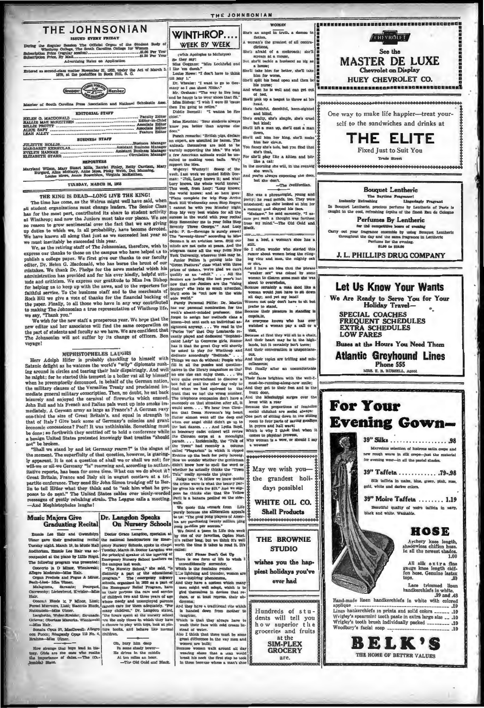| THE JOHNSONIAN<br><b>ISSUED EVERY FRIDAY</b><br>During the flagular Setsion The Official Organ of the Student Body of                        | <b>WINT</b><br><b>WEEK</b>                                                                                                                                      |  |  |
|----------------------------------------------------------------------------------------------------------------------------------------------|-----------------------------------------------------------------------------------------------------------------------------------------------------------------|--|--|
| Winthrop College, The South Carolina College for Women<br>(With Apol<br>So they my:<br>Advertising Rates on Application<br>Miss Goggans      |                                                                                                                                                                 |  |  |
| Entered as second-class matter November 21, 1923, under the Act of March 3,   I like 'em dumi<br>1879, at the postoffice in Rock Hill, S. C. | Louise Howe:<br>till May 1."                                                                                                                                    |  |  |
| Member<br>Mamber of South Carolina Press Association and National Scholastic Asso.                                                           | Dr. Wheeler:<br>many so I can a<br>Mr. Graham:<br>and be happy is<br>Miss Bishop: "<br>then I'm going                                                           |  |  |
| <b>EDITORIAL STAFF</b><br><b>BUSINESS STAFF</b>                                                                                              | <b>Diddle Burnel</b><br>chief."<br>Miss Ketchin:<br>know you bett<br>does."<br>Punch remark<br>an expert, are u<br>animal <sub>u</sub> thems<br>warmly support! |  |  |
| <b>REPORTERS</b>                                                                                                                             | a few American<br>suited to maki<br>support the idea                                                                                                            |  |  |
| the planet without Mary Gluert Mills, Harriet Pinley, Belty Carrison, Mary                                                                   | contract to the same of                                                                                                                                         |  |  |

ard, Ali ice McNairy, Anne Mosa, Pinky Webb, Dut l<br>| Howe, Annie Rosenblum, Virginia McKeiths

### TURSDAY, MARCH 24, 1935

### THE KING IS DEAD-LONG LIVE THE KING!

The time has come, as the Walrus might well have said, when student organizations must change leaders. The Senior Class

THE KING IS DEAD—LONG LIVE THE KINGI.<br>
THE KING IS DEAD—LONG LIVE THE KINGI.<br>
THE KING IS DEAD—LONG LIVE THE KINGI.<br>
THE RING IS DEAD—LONG LIVE THE KINGI.<br>
THE simulation must change baskers. The Sharing Cases is the firs

ona we shall by all let Germany it the numeral the superfluity of that question, however, is grating-<br>by apparent. It is not a question of shall we or shall we numeral. It is not a question of shall we will-we will-we can 2013. An example of the same of the same of the same of the same of the same of the same of the same of the same of the same of the same of the same of the same of the same of the same of the same of the same of the sam Hence reports, has been for some time. What can we do about it?<br>Great Britain, France and Italy sit in august conclave at a trigaritic conference. They send SIr John Simon trudging off to Berlin to tell Eitiler what they

THE JOHNSONIAN HROP

flat BY WEEK dietti .<br>wiss to McTetweek "Miss Lochhead and "I don't have to think

want to go to Gerhoot Hitler."<br>"The way to live long<br>to wear ahoes that fit."<br>"I wish I were 55 'cause to retire."<br>it: "I wanna be fir-

Your students always<br>r than anyone sla-

s: "Britlah plgs, declas muited for bacon. The<br>sives are said to be<br>ing the idea." We wish imals would be un-<br>meat bails. We'd

support the MSR. Weight of the vector of the vector in that week we quote 2 SMR. The main of the layer known in the weight of the vector of the state of the state of the state of the state of the state of the state of the

watch<br>visit,

 $nd 12$ 

called "Palagratian" in which it ripped for the relation up this back for petty larecery.<br>Encident whether the prelierant distribution we condit when the solution of the<br>state of the state of the state of the ribure of th



**BELK'S** THE HOME OF BETTER VALUES.

WHITE OIL CO.

THE BROWNIE

wishes you the happiest holidays you've

dents will tell you groceries and fruits at the<br>SIM-PLEX<br>GROCERY are.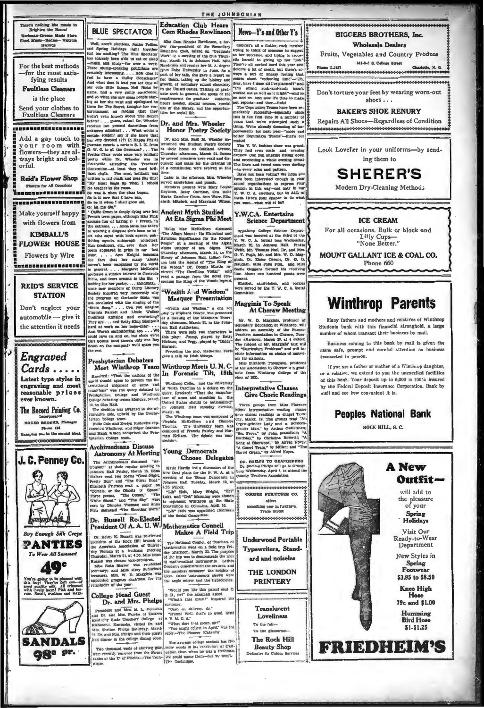|                                                             |                                                                                  | THE JOHNSONIAN                                                                                                 |                                                                                 |                                                                                                          |
|-------------------------------------------------------------|----------------------------------------------------------------------------------|----------------------------------------------------------------------------------------------------------------|---------------------------------------------------------------------------------|----------------------------------------------------------------------------------------------------------|
| There's nothing like music to<br><b>Brighten</b> the Hours! | <b>BLUE SPECTATOR</b>                                                            | <b>Education Club Hears</b><br>Cam Rhodes Rawlinson)                                                           | News-Y's and Other Y's                                                          |                                                                                                          |
| Workman-Greens Music Store<br>Sheet Music-Radios- Victrola  |                                                                                  | Miss Cam Rhodes Rawlinson, a for                                                                               |                                                                                 | BIGGERS BROTHERS, Inc.                                                                                   |
| <b>Records</b>                                              | Well, aren't elections, Junior Polites,<br>and Spring Ho'ldays right together    | mer vice-president of the Secondary<br>Education Club, talked on "Graduate                                     | Cabinet's all a flutter, each member<br>trying to think of someone to suggest   | <b>Wholesale Dealers</b>                                                                                 |
|                                                             | just too exciting? The Blue Spectator<br>has scarcely been able to eat or sleep  | Work" at a meeting of the club Thur: -                                                                         | as her successor, and trying to recon-                                          | Fruits, Vegetables and Country Produce                                                                   |
| For the best methods                                        | -much less study-for over a week.<br>Those stump-speaking politicians are        | day. March 14, in Johnson Hall. Miss<br>Rawlinson will receive her M. A. degree                                | cile herself to giving up her "job."<br>They've all worked hard this year and 3 | L01-3-5 S. College Street<br>Phone 2.3137<br>Charlotte, N. C.                                            |
| -for the most satis-                                        | certainly interesting. How does it                                               | from Duke University in June. As a<br>part of her talk, she gave a report on                                   | deserve a lot of credit, but there's al-<br>ways a sort of uneasy feeling that  |                                                                                                          |
| fying results                                               | feel to have a Guilty Conscience?<br>And what does it lead you to? One of        | her thesis, taking up the history and<br>growth of secondary school chemistry                                  | comes about "reckoning time"-"Oh,<br>dear, have I done all I've planned?" and   |                                                                                                          |
| <b>Faultless Cleaners</b>                                   | our cute little things, Nell Hicks by<br>name, had a very guilty conscience;     | in the United States. Talking of grad-<br>uate work in general, she spoke of the                               | "I'm afrald such-and-such liasn't<br>worked out as well as it might"-and so     | Don't torture your feet by wearing worn-out                                                              |
| is the place                                                | and so when she saw some people star-<br>ing at her she went and apologized to   | requirements for graduate students,                                                                            | on and on. And now it's time to make<br>out reports-and then-finish             | shoes. $\ldots$                                                                                          |
| Send your clothes to                                        | them for The Socret. Imaging her em-<br>barrassment on finding that they         | hours needed, special courses, special<br>use of the library, and the opportun-                                | The Deputation Teams have been re-                                              | <b>BAKER'S SHOE RENURY</b>                                                                               |
| <b>Faultless Cleaners</b>                                   | hadn't even known about The Secret                                               | ities for social life.                                                                                         | markably successful especially since<br>this is the first time in a number of   |                                                                                                          |
|                                                             | before! Extra, extra! Dr. Wheeler<br>receives two pressed dandelions from        | Dr. and Mrs. Wheeler                                                                                           | years that we've attempted such a<br>thing. We're already dreaming of im-       | Repairs All Shoes-Regardless of Condition                                                                |
|                                                             | unknown admirer! What would a<br>certain student say if she knew that            | <b>Honor Poetry Society</b>                                                                                    | provement: for next year-"more and<br>better Deputation Teams"-that's our       |                                                                                                          |
| Add a gay touch to<br>your room with                        | her very devoted (??) Pi Kappa Phi at<br>Furman cacorte a certain S. I. X. from  | Dr. and Mrs. Paul M. Wheeler en-<br>tertained the Student Poetry Society                                       | motto!<br>The Y. W. fashion show was grand.                                     |                                                                                                          |
| flowers—they are al-                                        | G. W. G. to all the Germans? The<br>Poetics Class wrote some very brilliant      | at their home on Oakland Avenue,<br>Thursday afternoon, March 21. Poems                                        | They had even coats and evening                                                 | Look Lovelier in your uniforms-by send-                                                                  |
| ways bright and col-                                        | poetry while Dr. Wheeler was in                                                  | by aeveral members were read and dis-<br>cussed; and plans for the drawing up                                  | dresses! Can you imagine ailting down<br>and crocheting a whole evening dress?  | ing them to                                                                                              |
| orful.                                                      | Greenville attending the Teachers'<br>Convention-at least they used bril-        | of a constitution were evolved at this                                                                         | The linen and tweed ones were darling<br>-in every color and pattern.           |                                                                                                          |
| Reid's Flower Shop                                          | liant chalk. The most brilliant was<br>written it, red chalk and goes like this: | time.<br>Later in the aftercon, Mrs. Wheeler                                                                   | Have you been voting? We hope you<br>have been interested enough in your        | <b>SHERER'S</b>                                                                                          |
| <b>Flowers for All Occasions</b>                            | "My heart leage up when I behold<br>No teacher in the room.                      | served sandwiches and punch.<br>Members present were Mary Louise                                               | sc.:ool organizations to express your<br>opinion in this way-not only in our    | Modern Dry-Cleaning Methous                                                                              |
|                                                             | So was it when the class began,                                                  | Ecylston, Betty Carrison, Ora Belle<br>Hucks, Caroline Crum, Ann Ware, Eliz-                                   | Y. W. C. A. elections, but in ALL of                                            |                                                                                                          |
|                                                             | So is it now that I have ran,<br>So be it when I shall grow old.                 | abeth Mitcheli, and Maryland Wilson.                                                                           | them. Here's your chance to do what<br>you want-what will it be?                |                                                                                                          |
| Make yourself happy                                         | Or let me die."<br>Callie Crum is aimply dying over her                          | <b>Ancient Myth Studied</b>                                                                                    | Y.W.C.A. Entertains                                                             |                                                                                                          |
|                                                             | Prench term paper, although Miss Fink<br>accuses her of having go r Frencis in   | At Eta Sigma Phi Meet                                                                                          | <b>Science Department</b>                                                       | <b>ICE CREAM</b>                                                                                         |
| with flowers from                                           | the extreme. Anne Mess has teken                                                 | Haliss Mac McKelthen discussed                                                                                 | Winthrop College Science Depart-                                                | For all occasions. Bulk or block and                                                                     |
| <b>KIMBALL'S</b>                                            | to wearing a diaguise she's been so be-<br>set (she says) with book agents, pub- | The Alban Mount: Its Historical and<br>Religious Significance for the Roman                                    | nent was honored at the third of the                                            | Lilly Cups-                                                                                              |
| <b>FLOWER HOUSE</b>                                         | lishing agents, autograph collectors,<br>film producers, etc., ever since her    | People" at a meeting of the Alpha<br>Alpha Chapter of Eta Sigms Phi                                            | Y. W. C. A. formal teas Wednesday,<br>March 20, in Johnson Hall. Pinkio         | "None Better."                                                                                           |
| Flowers by Wire                                             | poem appeared in print in our last<br>issue. Ann Knight bemoans                  | Thursday afternoon, March 21, in the                                                                           | Webb, Mr. Thomas Noel, Dr. and Mrs.<br>G. T. Pugh, Mr. and Mrs. W. D. Mag-      | MOUNT GALLANT ICE & COAL CO.                                                                             |
|                                                             | the fact that her many talents<br>haven't been recognised by the world           | library of Johnson Hall, Lillian Ben-<br>son told the legend of "The King of                                   | ginis, Dr. Eloise Greene, Dr. O. G.<br>Naudain, Miss Julie Post, and Miss       | Phone 660                                                                                                |
|                                                             | in general. Margaret McKnight<br>professes a sudden interest in Gertrude         | the Woods." Dr. Donnis Martin re-<br>viewed "The Unwilling Vestal" and                                         | Sadle Goggans formed the receiving<br>line. About two hundred guests were       |                                                                                                          |
|                                                             | Steln, and tears around in the libr v                                            | read a passage from the novel con-<br>cerning the King of the Woods legend.                                    | present.                                                                        |                                                                                                          |
| <b>REID'S SERVICE</b>                                       | looking for her poetry Incidental<br>some new members of Curry Literary          |                                                                                                                | Sherbel, sandwiches, and cookies<br>were served by the Y. W. C. A. Social       |                                                                                                          |
| <b>STATION</b>                                              | Society inquired very innocently why<br>the program on Gertrude Stein was        | 'Wealth A d Wisdom''<br><b>Masquer Presentation</b>                                                            | Committee.                                                                      |                                                                                                          |
| Don't neglect your                                          | not concluded with the singing of the<br>"Stein Song." Crn you imagine           | "Wealth and Wisdom," a one act                                                                                 | Magginis To Speak                                                               | <b>Winthrop Parents</b>                                                                                  |
|                                                             | Virginia Parrott and Linde Walker<br>Cockfield knitting and crocheting?          | play by Oliphant Downe, was presented                                                                          | <b>At Cheraw Meeting</b>                                                        |                                                                                                          |
| automobile - give it                                        | They are and Betty King Bianton's                                                | at a meeting of the Masquers Thurs-<br>day afternoon, March 31, in the John-                                   | Mr. W. D. Magginis, professor of<br>Secondary Education at Winthrop, will       | Many fathers and mothers and relatives of Winthrop                                                       |
| the attention it needs                                      | hard at work on her hope-chest<br>Ann Ware's embroidering, too We                | son Hall Auditorium.<br>There were only two characters in                                                      | address an assembly of the Parent-<br>Teachers Association in Cheraw, Tues-     | Students bank with this financial stronghold, a large<br>number of whom transact their business by mail. |
|                                                             | could rave on and on, but since we're<br>Girl Scouts (and there's only one Boy   | this play: Jimmy, played by Betty<br>Hickson; and Peggy, played by "Diddy"                                     | day afternoon, March 26, at 4 o'clock.                                          | Business coming to this bank by mail is given the                                                        |
| 00000000000000000000000000                                  | Scout on the campus!) we'll spare you<br>the rest                                | Burnett.<br>Preceding the play, Katherins Foris                                                                | The subject of Mr. Magginis' talk will<br>be "Curriculum Problems" and will in- | same safe, prompt and careful attention as busines                                                       |
| Engraved                                                    |                                                                                  | gave a talk on Irish Abbeys.                                                                                   | clude information on choics of materi-<br>als for cirricula.                    | transacted in person.                                                                                    |
| Cards                                                       | <b>Presbyterian Debaters</b><br><b>Meet Winthrop Team</b>                        | Winthrop Meets U.N.C.                                                                                          | Miss Elizabeth Thompson, president<br>of the association in Cheraw is a grad-   | If you are a father or mother of a Winthrop daughter                                                     |
|                                                             | Resolved: "That the nations of the                                               | In Forensic Tilt, 18th                                                                                         | uate from Winthrop College of the                                               | or a relative, we extend to you the unexcelled facilitie                                                 |
| Latest type styles in                                       | world should agree to prevent the in-<br>ternational shipment of arms and        | Winthrop Colle, met the University                                                                             | class of 1935.                                                                  | of this bank. Your deposit up to 5,000 is 100% insure                                                    |
| engraving and most<br>reasonable prices                     | munitions" was the query debated by                                              | of North Carolina in a debate on the<br>query, Resolved: "That the manufac-                                    | Interpretative Classes                                                          | by the Federal Deposit Insurance Corporation. Bank by<br>mail and see how convenient it is.              |
| ever known.                                                 | Presbyterian College and Winthrop                                                | College debating teams Monday, March ture of arms and munition in the<br>United States should be nationalized" | <b>Give Choric Readings</b>                                                     |                                                                                                          |
| The Record Printing Co.                                     | 18, in Clio Hall.<br>The decision was awarded to the af-                         | in Johnson Hall Monday evening,                                                                                | Three groups from Miss Florence<br>Mims interpretative reading classes          |                                                                                                          |
| Incorporated                                                | mative side, upheld by the Presby- March 18.<br>terian College team.             | The Winthrep team was composed of                                                                              | zwe choral readings in chapel Tues-<br>day, March 19. The groups read "Ah       | <b>Peoples National Bank</b>                                                                             |
| <b>ROGER BROOKS, Manager</b><br>Phone 164                   | Billie Cole and Evelyn Rudowliz rep-<br>resented Winthrop; and Edgar Stanton     | Virginia McKelthen and Dimples<br>Thomas. The University team was                                              | Orgen-grinder Lady and a Scissors-<br>grinder Man," by Arthur Ouiterman;        | ROCK HILL, S. C.                                                                                         |
| Hampton St., in the second block                            | and Hank Wilson comprised the Pres-                                              | composed of Francis Pairley and Nor-<br>man Kellars. The debate was non-                                       | 'Sea Fever," by John Mansfield; "A<br>Birthday," by Christina Rossetti; "A      |                                                                                                          |
| arantarana xia caracana da caracana da Caracana             | byterian College team.                                                           | decision.                                                                                                      | Song of Sherwood," by Alfred Noves;                                             |                                                                                                          |
|                                                             | <b>Archimedeans Discuss</b><br><b>Astronomy At Meeting</b>                       | <b>Young Democrats</b>                                                                                         | "A Camel Train," by Miller; and "The<br>Barrel Grgan," by Alfred Noyes,         |                                                                                                          |
| J. C. Penney Co.                                            | The Archimedeans discussed "As-                                                  | <b>Choose Delegates</b>                                                                                        | <b>DR. PHELPS TO ORANGEBURG</b>                                                 |                                                                                                          |
|                                                             | tronomy" at their regular meeting in<br>Johnsen Hall Friday, March 15. Edna      | Kaile Hardin led a discussion of the                                                                           | Dr. Shelton Phelps will go to Orange-<br>burg Wednesday, April 3, to attend the | <b>A New</b>                                                                                             |
|                                                             | Walker read two poems "Good-Night,<br>Pretty Sun" and "The Silver Boat."         | New Deal plans for the P. W. A. at a<br>meeting of the Young Democrats in                                      | County Teachers Association.                                                    | Outfit-                                                                                                  |
|                                                             | Elizabeth Frienton read a paper on                                               | Johnson Hall, Tuesday, March 19, at<br>4:15 o'clock.                                                           | ,,,,,,,,,,,,,,,,,,,,,,,,,                                                       |                                                                                                          |
|                                                             | "Comets, or the Ghosts of Space."<br>Three poems, "The Comet," "The              | "Lib" Holt, Mary Wright, "Kit"<br>Lake, and "Dot" Manning were chosen                                          | COOPER FURNITURE CO.                                                            | will add to                                                                                              |
|                                                             | White Sheet," and "The Sky" were<br>read by Dimples Thomas; and Anna             | to represent Winthrop at the State<br>Convention in Orlumbia, April 10.                                        | offers<br>something new in furtilars.                                           | the pleasure<br>of your                                                                                  |
|                                                             | Pitts discussed "The Shooting Stars."                                            | "Lib" Holt was appointed chairman                                                                              | Trade Street                                                                    | <b>Spring</b>                                                                                            |
|                                                             | Dr. Bussell Re-Elected                                                           | of the Social Committee.                                                                                       | ************************                                                        | <b>Holidays</b>                                                                                          |
|                                                             | President Of A. A. U.W.                                                          | <b>Mathematics Council</b>                                                                                     |                                                                                 | Visit Our                                                                                                |
| <b>Buy Enough Silk Crepe</b>                                | Dr. Helen K. Bussell was re-elected                                              | <b>Makes A Field Trip</b>                                                                                      | <b>Underwood Portable</b>                                                       | Ready-to-Wear                                                                                            |
| <b>PANTIES</b>                                              | president of the Rock Hill branch of<br>the American Association of Univer-      | The National Council of Teachers of<br>Mathematics went on a field trip Pri-                                   | Typewriters, Stand-                                                             | Department                                                                                               |
| To Wear All Summer!                                         | sity Women at a buriness meeting<br>Thursday, March 21, at 4:30. Miss Edna       | day afternoon, March 22. The purpose<br>of the trip was to demonstrate the uses                                |                                                                                 | New Styles in                                                                                            |
|                                                             | Russell was chosen vice-president.<br>Miss Ruth Shaver was re-elected            | of mathematical instruments. Letitia<br>Goodwin demonstrated the sextant, and                                  | ard and noiseles                                                                | Spring                                                                                                   |
|                                                             | secretary; and Miss Mary Schuchart                                               | the members measured the heights of                                                                            | <b>THE LONDON</b>                                                               | Footwear                                                                                                 |
| You're going to be pleased<br>this boy! They're full        | trensurer. Mrs. W. D. Magginis was<br>appointed program chairman for the         | trees. Other instruments shown were<br>the angle mirror and the hypsometer                                     | <b>PRINTERY</b>                                                                 | \$3.95 to \$8.50                                                                                         |

> **Knee High** Hose 79c and \$1.00

Humming **Bird Hose** 

 $$1-$1.25$ **FRIEDHEIM'S** 

**DIFF. and Mrs. 2.** L. Douwood<br>and Dr. and Mrs. Parries of Eastern Kentucky State Treather's Callege at<br>Rethumond, Remixeley, visited Dr. and<br>Richmond, Remixeley, visited Dr. and<br>Nirs. Shhilon Preips saurely. March 1933<br>33 and dinner in the college dinlag room. The average college student has five the<br>contained wedle of checture guint more words in hat versioning at gred-<br>ander according removed from the library unition than when he was a fr

Translucent Loveliness To the fair-To the glamorous-

The Rock Hill **Beauty Shop** Dedicates its Unique Service

# throp Parents

13253558

网络海绵属

łΣ

ŀ

Sensoser innesses

Flowe 33203551

### **REID'S ST**